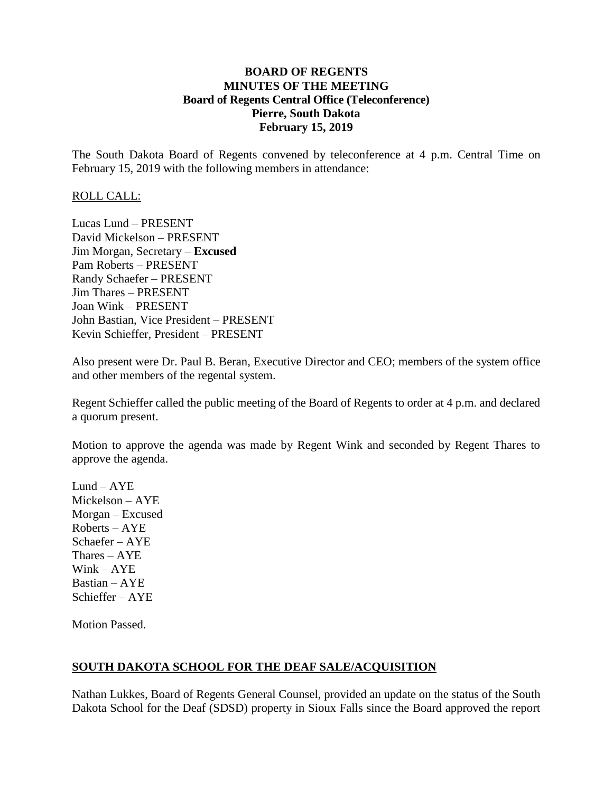## **BOARD OF REGENTS MINUTES OF THE MEETING Board of Regents Central Office (Teleconference) Pierre, South Dakota February 15, 2019**

The South Dakota Board of Regents convened by teleconference at 4 p.m. Central Time on February 15, 2019 with the following members in attendance:

## ROLL CALL:

Lucas Lund – PRESENT David Mickelson – PRESENT Jim Morgan, Secretary – **Excused** Pam Roberts – PRESENT Randy Schaefer – PRESENT Jim Thares – PRESENT Joan Wink – PRESENT John Bastian, Vice President – PRESENT Kevin Schieffer, President – PRESENT

Also present were Dr. Paul B. Beran, Executive Director and CEO; members of the system office and other members of the regental system.

Regent Schieffer called the public meeting of the Board of Regents to order at 4 p.m. and declared a quorum present.

Motion to approve the agenda was made by Regent Wink and seconded by Regent Thares to approve the agenda.

Lund –  $AYE$ Mickelson – AYE Morgan – Excused Roberts – AYE Schaefer – AYE Thares – AYE Wink – AYE Bastian – AYE Schieffer – AYE

Motion Passed.

## **SOUTH DAKOTA SCHOOL FOR THE DEAF SALE/ACQUISITION**

Nathan Lukkes, Board of Regents General Counsel, provided an update on the status of the South Dakota School for the Deaf (SDSD) property in Sioux Falls since the Board approved the report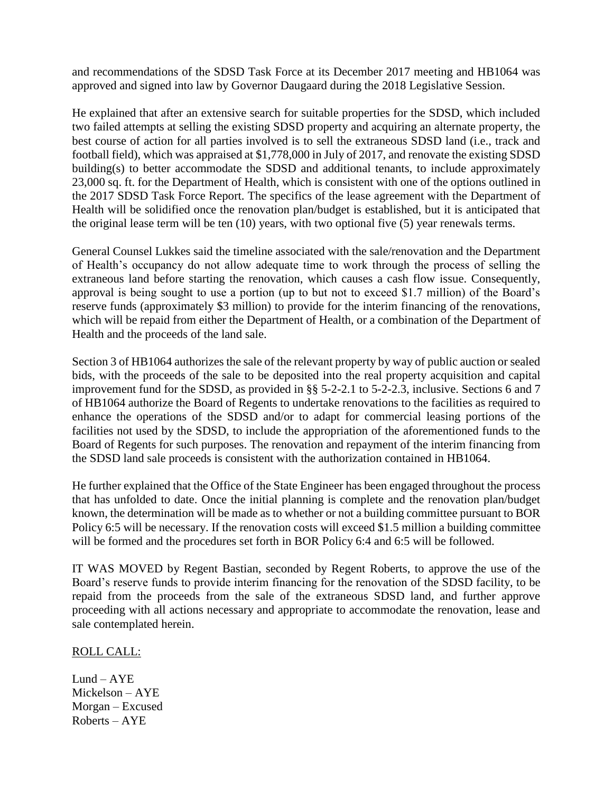and recommendations of the SDSD Task Force at its December 2017 meeting and HB1064 was approved and signed into law by Governor Daugaard during the 2018 Legislative Session.

He explained that after an extensive search for suitable properties for the SDSD, which included two failed attempts at selling the existing SDSD property and acquiring an alternate property, the best course of action for all parties involved is to sell the extraneous SDSD land (i.e., track and football field), which was appraised at \$1,778,000 in July of 2017, and renovate the existing SDSD building(s) to better accommodate the SDSD and additional tenants, to include approximately 23,000 sq. ft. for the Department of Health, which is consistent with one of the options outlined in the 2017 SDSD Task Force Report. The specifics of the lease agreement with the Department of Health will be solidified once the renovation plan/budget is established, but it is anticipated that the original lease term will be ten (10) years, with two optional five (5) year renewals terms.

General Counsel Lukkes said the timeline associated with the sale/renovation and the Department of Health's occupancy do not allow adequate time to work through the process of selling the extraneous land before starting the renovation, which causes a cash flow issue. Consequently, approval is being sought to use a portion (up to but not to exceed \$1.7 million) of the Board's reserve funds (approximately \$3 million) to provide for the interim financing of the renovations, which will be repaid from either the Department of Health, or a combination of the Department of Health and the proceeds of the land sale.

Section 3 of HB1064 authorizes the sale of the relevant property by way of public auction or sealed bids, with the proceeds of the sale to be deposited into the real property acquisition and capital improvement fund for the SDSD, as provided in §§ 5-2-2.1 to 5-2-2.3, inclusive. Sections 6 and 7 of HB1064 authorize the Board of Regents to undertake renovations to the facilities as required to enhance the operations of the SDSD and/or to adapt for commercial leasing portions of the facilities not used by the SDSD, to include the appropriation of the aforementioned funds to the Board of Regents for such purposes. The renovation and repayment of the interim financing from the SDSD land sale proceeds is consistent with the authorization contained in HB1064.

He further explained that the Office of the State Engineer has been engaged throughout the process that has unfolded to date. Once the initial planning is complete and the renovation plan/budget known, the determination will be made as to whether or not a building committee pursuant to BOR Policy 6:5 will be necessary. If the renovation costs will exceed \$1.5 million a building committee will be formed and the procedures set forth in BOR Policy 6:4 and 6:5 will be followed.

IT WAS MOVED by Regent Bastian, seconded by Regent Roberts, to approve the use of the Board's reserve funds to provide interim financing for the renovation of the SDSD facility, to be repaid from the proceeds from the sale of the extraneous SDSD land, and further approve proceeding with all actions necessary and appropriate to accommodate the renovation, lease and sale contemplated herein.

## ROLL CALL:

 $Lund - AYE$ Mickelson – AYE Morgan – Excused Roberts – AYE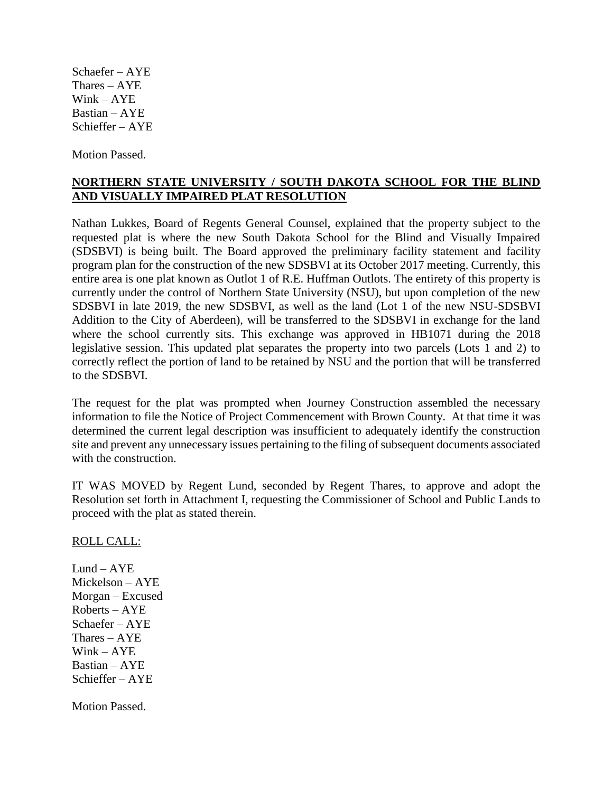Schaefer – AYE Thares – AYE Wink – AYE Bastian – AYE Schieffer – AYE

Motion Passed.

## **NORTHERN STATE UNIVERSITY / SOUTH DAKOTA SCHOOL FOR THE BLIND AND VISUALLY IMPAIRED PLAT RESOLUTION**

Nathan Lukkes, Board of Regents General Counsel, explained that the property subject to the requested plat is where the new South Dakota School for the Blind and Visually Impaired (SDSBVI) is being built. The Board approved the preliminary facility statement and facility program plan for the construction of the new SDSBVI at its October 2017 meeting. Currently, this entire area is one plat known as Outlot 1 of R.E. Huffman Outlots. The entirety of this property is currently under the control of Northern State University (NSU), but upon completion of the new SDSBVI in late 2019, the new SDSBVI, as well as the land (Lot 1 of the new NSU-SDSBVI Addition to the City of Aberdeen), will be transferred to the SDSBVI in exchange for the land where the school currently sits. This exchange was approved in HB1071 during the 2018 legislative session. This updated plat separates the property into two parcels (Lots 1 and 2) to correctly reflect the portion of land to be retained by NSU and the portion that will be transferred to the SDSBVI.

The request for the plat was prompted when Journey Construction assembled the necessary information to file the Notice of Project Commencement with Brown County. At that time it was determined the current legal description was insufficient to adequately identify the construction site and prevent any unnecessary issues pertaining to the filing of subsequent documents associated with the construction.

IT WAS MOVED by Regent Lund, seconded by Regent Thares, to approve and adopt the Resolution set forth in Attachment I, requesting the Commissioner of School and Public Lands to proceed with the plat as stated therein.

ROLL CALL:

Lund –  $AYE$ Mickelson – AYE Morgan – Excused Roberts – AYE Schaefer – AYE Thares – AYE Wink – AYE Bastian – AYE Schieffer – AYE

Motion Passed.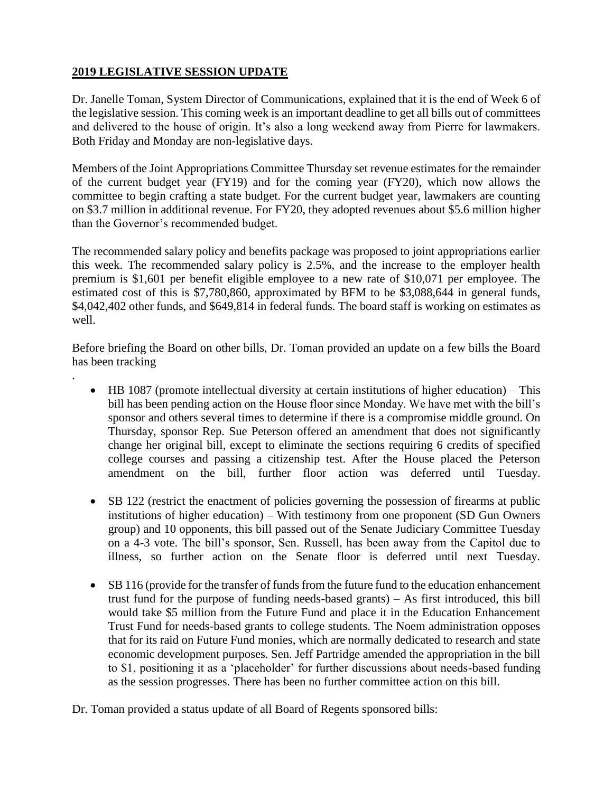# **2019 LEGISLATIVE SESSION UPDATE**

.

Dr. Janelle Toman, System Director of Communications, explained that it is the end of Week 6 of the legislative session. This coming week is an important deadline to get all bills out of committees and delivered to the house of origin. It's also a long weekend away from Pierre for lawmakers. Both Friday and Monday are non-legislative days.

Members of the Joint Appropriations Committee Thursday set revenue estimates for the remainder of the current budget year (FY19) and for the coming year (FY20), which now allows the committee to begin crafting a state budget. For the current budget year, lawmakers are counting on \$3.7 million in additional revenue. For FY20, they adopted revenues about \$5.6 million higher than the Governor's recommended budget.

The recommended salary policy and benefits package was proposed to joint appropriations earlier this week. The recommended salary policy is 2.5%, and the increase to the employer health premium is \$1,601 per benefit eligible employee to a new rate of \$10,071 per employee. The estimated cost of this is \$7,780,860, approximated by BFM to be \$3,088,644 in general funds, \$4,042,402 other funds, and \$649,814 in federal funds. The board staff is working on estimates as well.

Before briefing the Board on other bills, Dr. Toman provided an update on a few bills the Board has been tracking

- HB 1087 (promote intellectual diversity at certain institutions of higher education) This bill has been pending action on the House floor since Monday. We have met with the bill's sponsor and others several times to determine if there is a compromise middle ground. On Thursday, sponsor Rep. Sue Peterson offered an amendment that does not significantly change her original bill, except to eliminate the sections requiring 6 credits of specified college courses and passing a citizenship test. After the House placed the Peterson amendment on the bill, further floor action was deferred until Tuesday.
- SB 122 (restrict the enactment of policies governing the possession of firearms at public institutions of higher education) – With testimony from one proponent (SD Gun Owners group) and 10 opponents, this bill passed out of the Senate Judiciary Committee Tuesday on a 4-3 vote. The bill's sponsor, Sen. Russell, has been away from the Capitol due to illness, so further action on the Senate floor is deferred until next Tuesday.
- SB 116 (provide for the transfer of funds from the future fund to the education enhancement trust fund for the purpose of funding needs-based grants) – As first introduced, this bill would take \$5 million from the Future Fund and place it in the Education Enhancement Trust Fund for needs-based grants to college students. The Noem administration opposes that for its raid on Future Fund monies, which are normally dedicated to research and state economic development purposes. Sen. Jeff Partridge amended the appropriation in the bill to \$1, positioning it as a 'placeholder' for further discussions about needs-based funding as the session progresses. There has been no further committee action on this bill.

Dr. Toman provided a status update of all Board of Regents sponsored bills: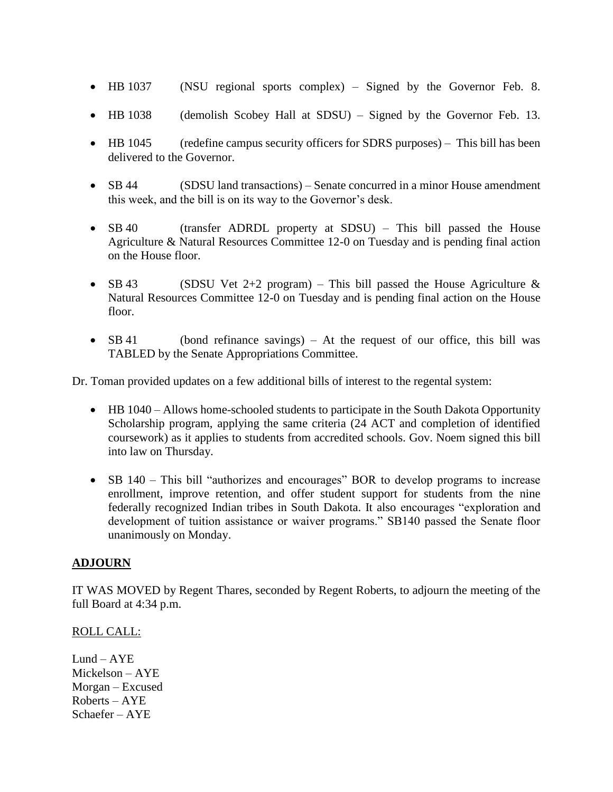- HB 1037 (NSU regional sports complex) Signed by the Governor Feb. 8.
- HB 1038 (demolish Scobey Hall at SDSU) Signed by the Governor Feb. 13.
- HB 1045 (redefine campus security officers for SDRS purposes) This bill has been delivered to the Governor.
- SB 44 (SDSU land transactions) Senate concurred in a minor House amendment this week, and the bill is on its way to the Governor's desk.
- SB 40 (transfer ADRDL property at SDSU) This bill passed the House Agriculture & Natural Resources Committee 12-0 on Tuesday and is pending final action on the House floor.
- SB 43 (SDSU Vet 2+2 program) This bill passed the House Agriculture  $\&$ Natural Resources Committee 12-0 on Tuesday and is pending final action on the House floor.
- SB 41 (bond refinance savings) At the request of our office, this bill was TABLED by the Senate Appropriations Committee.

Dr. Toman provided updates on a few additional bills of interest to the regental system:

- HB 1040 Allows home-schooled students to participate in the South Dakota Opportunity Scholarship program, applying the same criteria (24 ACT and completion of identified coursework) as it applies to students from accredited schools. Gov. Noem signed this bill into law on Thursday.
- SB 140 This bill "authorizes and encourages" BOR to develop programs to increase enrollment, improve retention, and offer student support for students from the nine federally recognized Indian tribes in South Dakota. It also encourages "exploration and development of tuition assistance or waiver programs." SB140 passed the Senate floor unanimously on Monday.

## **ADJOURN**

IT WAS MOVED by Regent Thares, seconded by Regent Roberts, to adjourn the meeting of the full Board at 4:34 p.m.

## ROLL CALL:

 $Lund - AYE$ Mickelson – AYE Morgan – Excused Roberts – AYE Schaefer – AYE